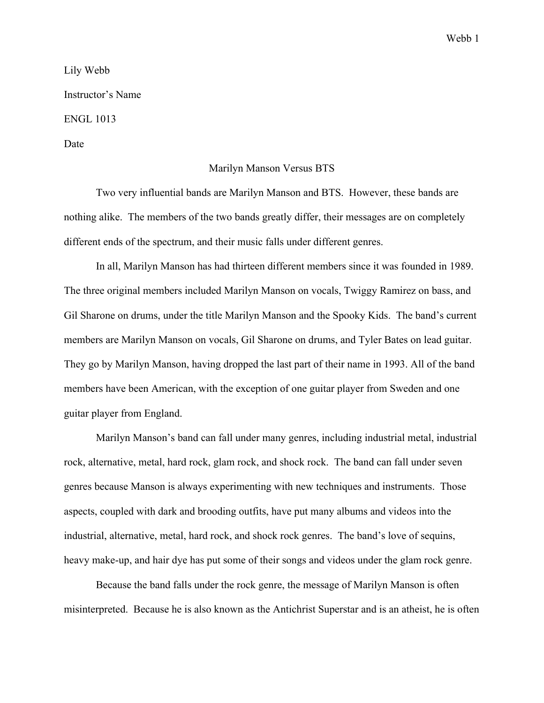Lily Webb Instructor's Name ENGL 1013

Date

## Marilyn Manson Versus BTS

Two very influential bands are Marilyn Manson and BTS. However, these bands are nothing alike. The members of the two bands greatly differ, their messages are on completely different ends of the spectrum, and their music falls under different genres.

In all, Marilyn Manson has had thirteen different members since it was founded in 1989. The three original members included Marilyn Manson on vocals, Twiggy Ramirez on bass, and Gil Sharone on drums, under the title Marilyn Manson and the Spooky Kids. The band's current members are Marilyn Manson on vocals, Gil Sharone on drums, and Tyler Bates on lead guitar. They go by Marilyn Manson, having dropped the last part of their name in 1993. All of the band members have been American, with the exception of one guitar player from Sweden and one guitar player from England.

Marilyn Manson's band can fall under many genres, including industrial metal, industrial rock, alternative, metal, hard rock, glam rock, and shock rock. The band can fall under seven genres because Manson is always experimenting with new techniques and instruments. Those aspects, coupled with dark and brooding outfits, have put many albums and videos into the industrial, alternative, metal, hard rock, and shock rock genres. The band's love of sequins, heavy make-up, and hair dye has put some of their songs and videos under the glam rock genre.

Because the band falls under the rock genre, the message of Marilyn Manson is often misinterpreted. Because he is also known as the Antichrist Superstar and is an atheist, he is often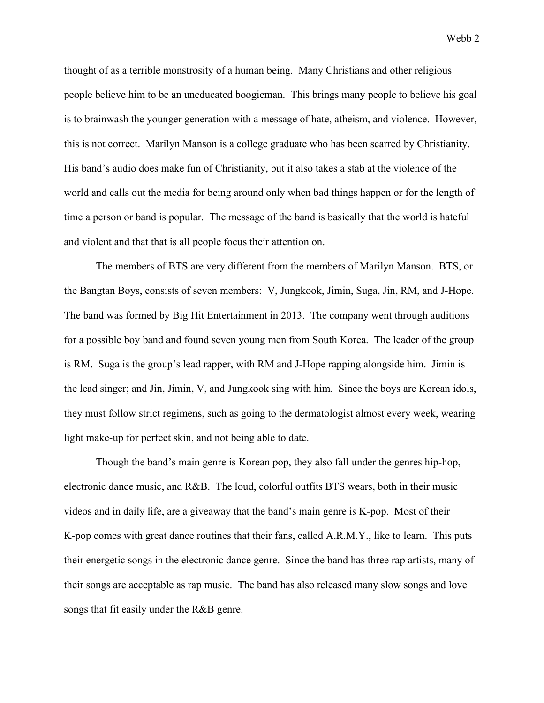Webb 2

thought of as a terrible monstrosity of a human being. Many Christians and other religious people believe him to be an uneducated boogieman. This brings many people to believe his goal is to brainwash the younger generation with a message of hate, atheism, and violence. However, this is not correct. Marilyn Manson is a college graduate who has been scarred by Christianity. His band's audio does make fun of Christianity, but it also takes a stab at the violence of the world and calls out the media for being around only when bad things happen or for the length of time a person or band is popular. The message of the band is basically that the world is hateful and violent and that that is all people focus their attention on.

The members of BTS are very different from the members of Marilyn Manson. BTS, or the Bangtan Boys, consists of seven members: V, Jungkook, Jimin, Suga, Jin, RM, and J-Hope. The band was formed by Big Hit Entertainment in 2013. The company went through auditions for a possible boy band and found seven young men from South Korea. The leader of the group is RM. Suga is the group's lead rapper, with RM and J-Hope rapping alongside him. Jimin is the lead singer; and Jin, Jimin, V, and Jungkook sing with him. Since the boys are Korean idols, they must follow strict regimens, such as going to the dermatologist almost every week, wearing light make-up for perfect skin, and not being able to date.

Though the band's main genre is Korean pop, they also fall under the genres hip-hop, electronic dance music, and R&B. The loud, colorful outfits BTS wears, both in their music videos and in daily life, are a giveaway that the band's main genre is K-pop. Most of their K-pop comes with great dance routines that their fans, called A.R.M.Y., like to learn. This puts their energetic songs in the electronic dance genre. Since the band has three rap artists, many of their songs are acceptable as rap music. The band has also released many slow songs and love songs that fit easily under the R&B genre.